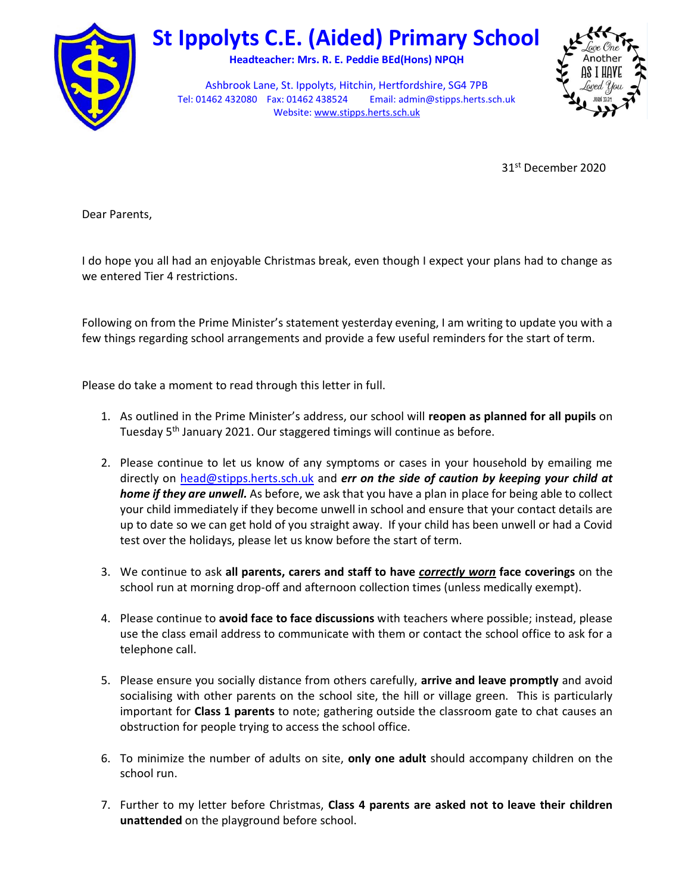

## St Ippolyts C.E. (Aided) Primary School

Headteacher: Mrs. R. E. Peddie BEd(Hons) NPQH

Ashbrook Lane, St. Ippolyts, Hitchin, Hertfordshire, SG4 7PB Tel: 01462 432080 Fax: 01462 438524 Email: admin@stipps.herts.sch.uk Website: www.stipps.herts.sch.uk



31st December 2020

Dear Parents,

I do hope you all had an enjoyable Christmas break, even though I expect your plans had to change as we entered Tier 4 restrictions.

Following on from the Prime Minister's statement yesterday evening, I am writing to update you with a few things regarding school arrangements and provide a few useful reminders for the start of term.

Please do take a moment to read through this letter in full.

- 1. As outlined in the Prime Minister's address, our school will reopen as planned for all pupils on Tuesday 5<sup>th</sup> January 2021. Our staggered timings will continue as before.
- 2. Please continue to let us know of any symptoms or cases in your household by emailing me directly on head@stipps.herts.sch.uk and err on the side of caution by keeping your child at home if they are unwell. As before, we ask that you have a plan in place for being able to collect your child immediately if they become unwell in school and ensure that your contact details are up to date so we can get hold of you straight away. If your child has been unwell or had a Covid test over the holidays, please let us know before the start of term.
- 3. We continue to ask all parents, carers and staff to have *correctly worn* face coverings on the school run at morning drop-off and afternoon collection times (unless medically exempt).
- 4. Please continue to avoid face to face discussions with teachers where possible; instead, please use the class email address to communicate with them or contact the school office to ask for a telephone call.
- 5. Please ensure you socially distance from others carefully, arrive and leave promptly and avoid socialising with other parents on the school site, the hill or village green. This is particularly important for **Class 1 parents** to note; gathering outside the classroom gate to chat causes an obstruction for people trying to access the school office.
- 6. To minimize the number of adults on site, only one adult should accompany children on the school run.
- 7. Further to my letter before Christmas, Class 4 parents are asked not to leave their children unattended on the playground before school.